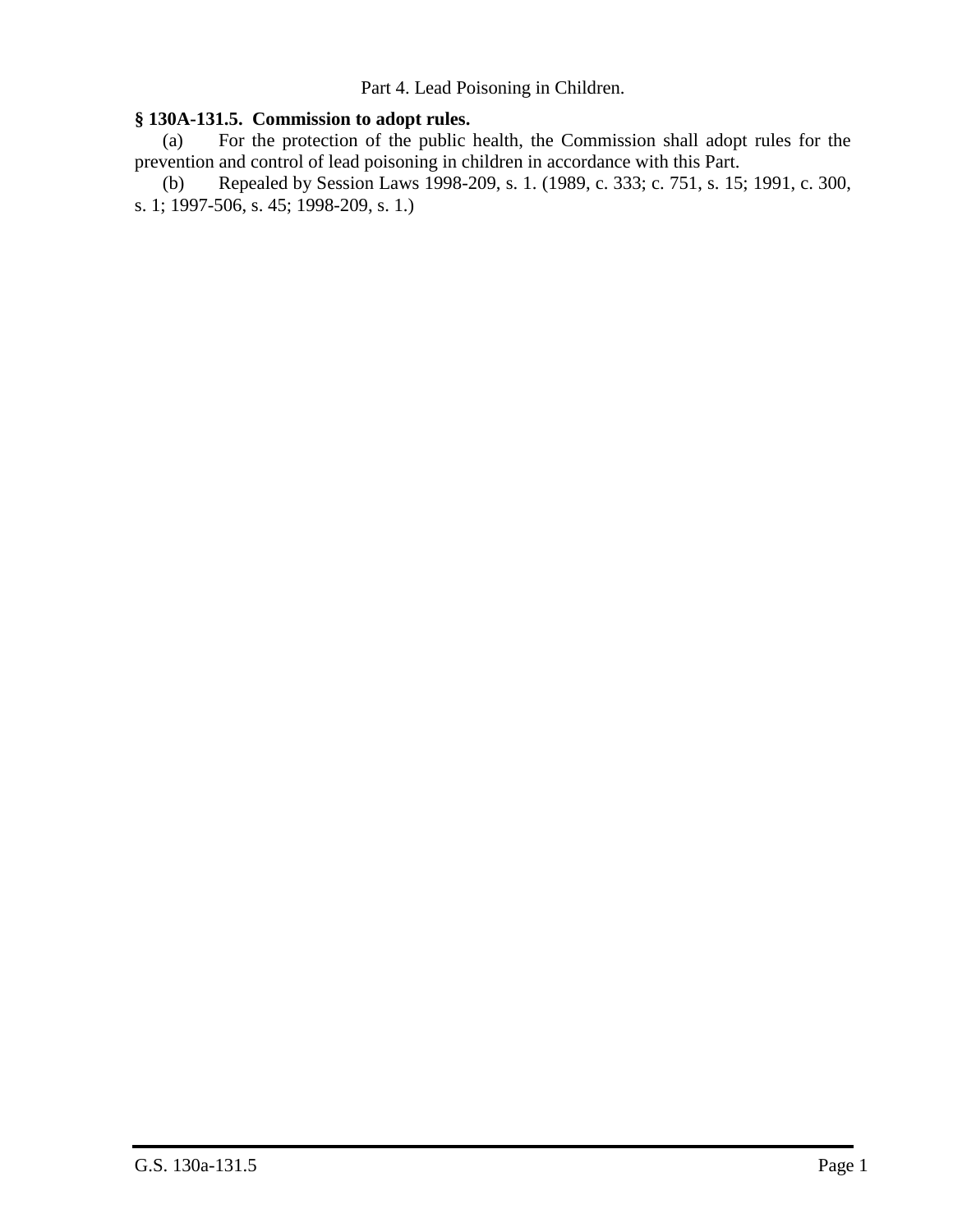Part 4. Lead Poisoning in Children.

## **§ 130A-131.5. Commission to adopt rules.**

(a) For the protection of the public health, the Commission shall adopt rules for the prevention and control of lead poisoning in children in accordance with this Part.

(b) Repealed by Session Laws 1998-209, s. 1. (1989, c. 333; c. 751, s. 15; 1991, c. 300, s. 1; 1997-506, s. 45; 1998-209, s. 1.)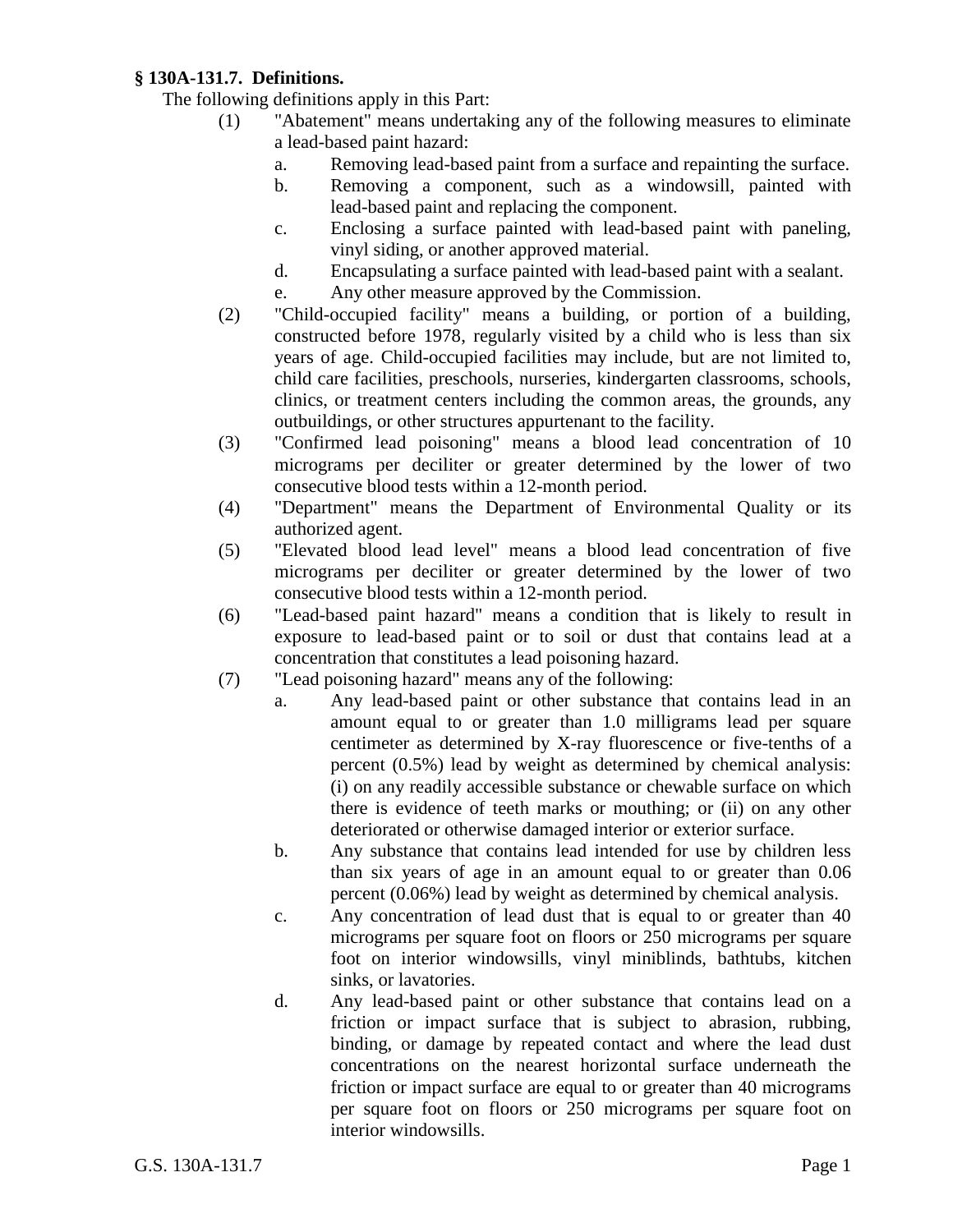# **§ 130A-131.7. Definitions.**

The following definitions apply in this Part:

- (1) "Abatement" means undertaking any of the following measures to eliminate a lead-based paint hazard:
	- a. Removing lead-based paint from a surface and repainting the surface.
	- b. Removing a component, such as a windowsill, painted with lead-based paint and replacing the component.
	- c. Enclosing a surface painted with lead-based paint with paneling, vinyl siding, or another approved material.
	- d. Encapsulating a surface painted with lead-based paint with a sealant.
	- e. Any other measure approved by the Commission.
- (2) "Child-occupied facility" means a building, or portion of a building, constructed before 1978, regularly visited by a child who is less than six years of age. Child-occupied facilities may include, but are not limited to, child care facilities, preschools, nurseries, kindergarten classrooms, schools, clinics, or treatment centers including the common areas, the grounds, any outbuildings, or other structures appurtenant to the facility.
- (3) "Confirmed lead poisoning" means a blood lead concentration of 10 micrograms per deciliter or greater determined by the lower of two consecutive blood tests within a 12-month period.
- (4) "Department" means the Department of Environmental Quality or its authorized agent.
- (5) "Elevated blood lead level" means a blood lead concentration of five micrograms per deciliter or greater determined by the lower of two consecutive blood tests within a 12-month period.
- (6) "Lead-based paint hazard" means a condition that is likely to result in exposure to lead-based paint or to soil or dust that contains lead at a concentration that constitutes a lead poisoning hazard.
- (7) "Lead poisoning hazard" means any of the following:
	- a. Any lead-based paint or other substance that contains lead in an amount equal to or greater than 1.0 milligrams lead per square centimeter as determined by X-ray fluorescence or five-tenths of a percent (0.5%) lead by weight as determined by chemical analysis: (i) on any readily accessible substance or chewable surface on which there is evidence of teeth marks or mouthing; or (ii) on any other deteriorated or otherwise damaged interior or exterior surface.
	- b. Any substance that contains lead intended for use by children less than six years of age in an amount equal to or greater than 0.06 percent (0.06%) lead by weight as determined by chemical analysis.
	- c. Any concentration of lead dust that is equal to or greater than 40 micrograms per square foot on floors or 250 micrograms per square foot on interior windowsills, vinyl miniblinds, bathtubs, kitchen sinks, or lavatories.
	- d. Any lead-based paint or other substance that contains lead on a friction or impact surface that is subject to abrasion, rubbing, binding, or damage by repeated contact and where the lead dust concentrations on the nearest horizontal surface underneath the friction or impact surface are equal to or greater than 40 micrograms per square foot on floors or 250 micrograms per square foot on interior windowsills.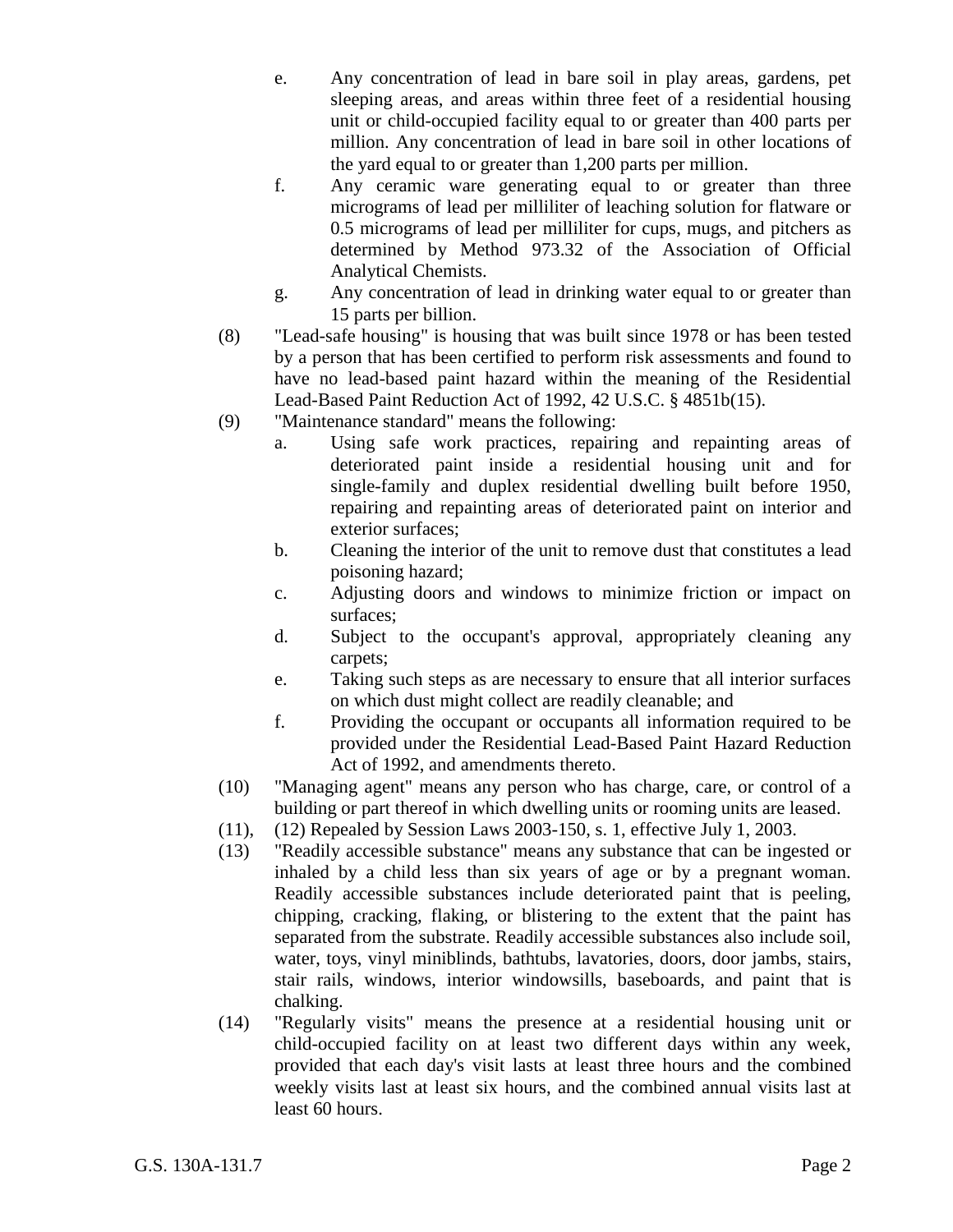- e. Any concentration of lead in bare soil in play areas, gardens, pet sleeping areas, and areas within three feet of a residential housing unit or child-occupied facility equal to or greater than 400 parts per million. Any concentration of lead in bare soil in other locations of the yard equal to or greater than 1,200 parts per million.
- f. Any ceramic ware generating equal to or greater than three micrograms of lead per milliliter of leaching solution for flatware or 0.5 micrograms of lead per milliliter for cups, mugs, and pitchers as determined by Method 973.32 of the Association of Official Analytical Chemists.
- g. Any concentration of lead in drinking water equal to or greater than 15 parts per billion.
- (8) "Lead-safe housing" is housing that was built since 1978 or has been tested by a person that has been certified to perform risk assessments and found to have no lead-based paint hazard within the meaning of the Residential Lead-Based Paint Reduction Act of 1992, 42 U.S.C. § 4851b(15).
- (9) "Maintenance standard" means the following:
	- a. Using safe work practices, repairing and repainting areas of deteriorated paint inside a residential housing unit and for single-family and duplex residential dwelling built before 1950, repairing and repainting areas of deteriorated paint on interior and exterior surfaces;
	- b. Cleaning the interior of the unit to remove dust that constitutes a lead poisoning hazard;
	- c. Adjusting doors and windows to minimize friction or impact on surfaces;
	- d. Subject to the occupant's approval, appropriately cleaning any carpets;
	- e. Taking such steps as are necessary to ensure that all interior surfaces on which dust might collect are readily cleanable; and
	- f. Providing the occupant or occupants all information required to be provided under the Residential Lead-Based Paint Hazard Reduction Act of 1992, and amendments thereto.
- (10) "Managing agent" means any person who has charge, care, or control of a building or part thereof in which dwelling units or rooming units are leased.
- (11), (12) Repealed by Session Laws 2003-150, s. 1, effective July 1, 2003.
- (13) "Readily accessible substance" means any substance that can be ingested or inhaled by a child less than six years of age or by a pregnant woman. Readily accessible substances include deteriorated paint that is peeling, chipping, cracking, flaking, or blistering to the extent that the paint has separated from the substrate. Readily accessible substances also include soil, water, toys, vinyl miniblinds, bathtubs, lavatories, doors, door jambs, stairs, stair rails, windows, interior windowsills, baseboards, and paint that is chalking.
- (14) "Regularly visits" means the presence at a residential housing unit or child-occupied facility on at least two different days within any week, provided that each day's visit lasts at least three hours and the combined weekly visits last at least six hours, and the combined annual visits last at least 60 hours.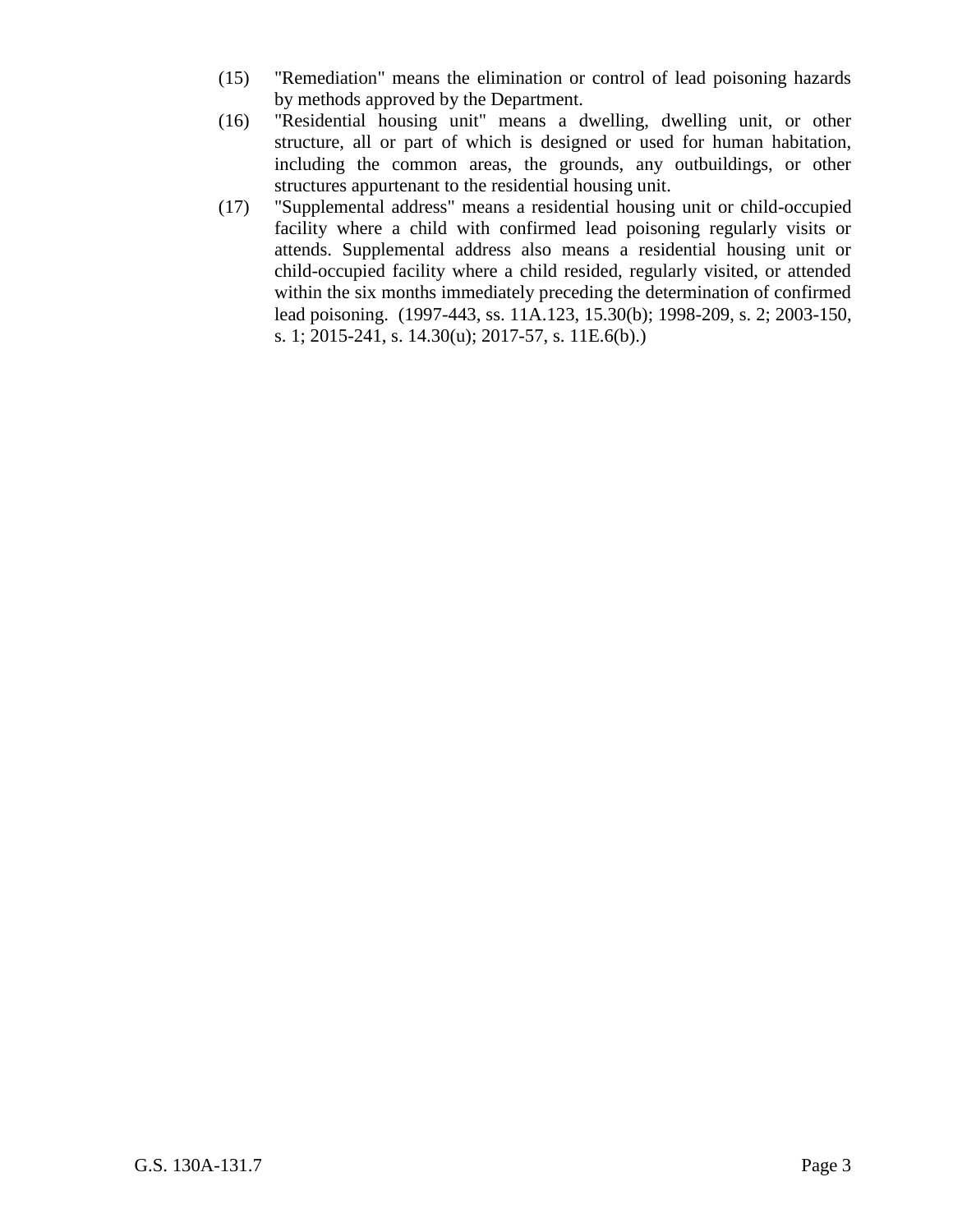- (15) "Remediation" means the elimination or control of lead poisoning hazards by methods approved by the Department.
- (16) "Residential housing unit" means a dwelling, dwelling unit, or other structure, all or part of which is designed or used for human habitation, including the common areas, the grounds, any outbuildings, or other structures appurtenant to the residential housing unit.
- (17) "Supplemental address" means a residential housing unit or child-occupied facility where a child with confirmed lead poisoning regularly visits or attends. Supplemental address also means a residential housing unit or child-occupied facility where a child resided, regularly visited, or attended within the six months immediately preceding the determination of confirmed lead poisoning. (1997-443, ss. 11A.123, 15.30(b); 1998-209, s. 2; 2003-150, s. 1; 2015-241, s. 14.30(u); 2017-57, s. 11E.6(b).)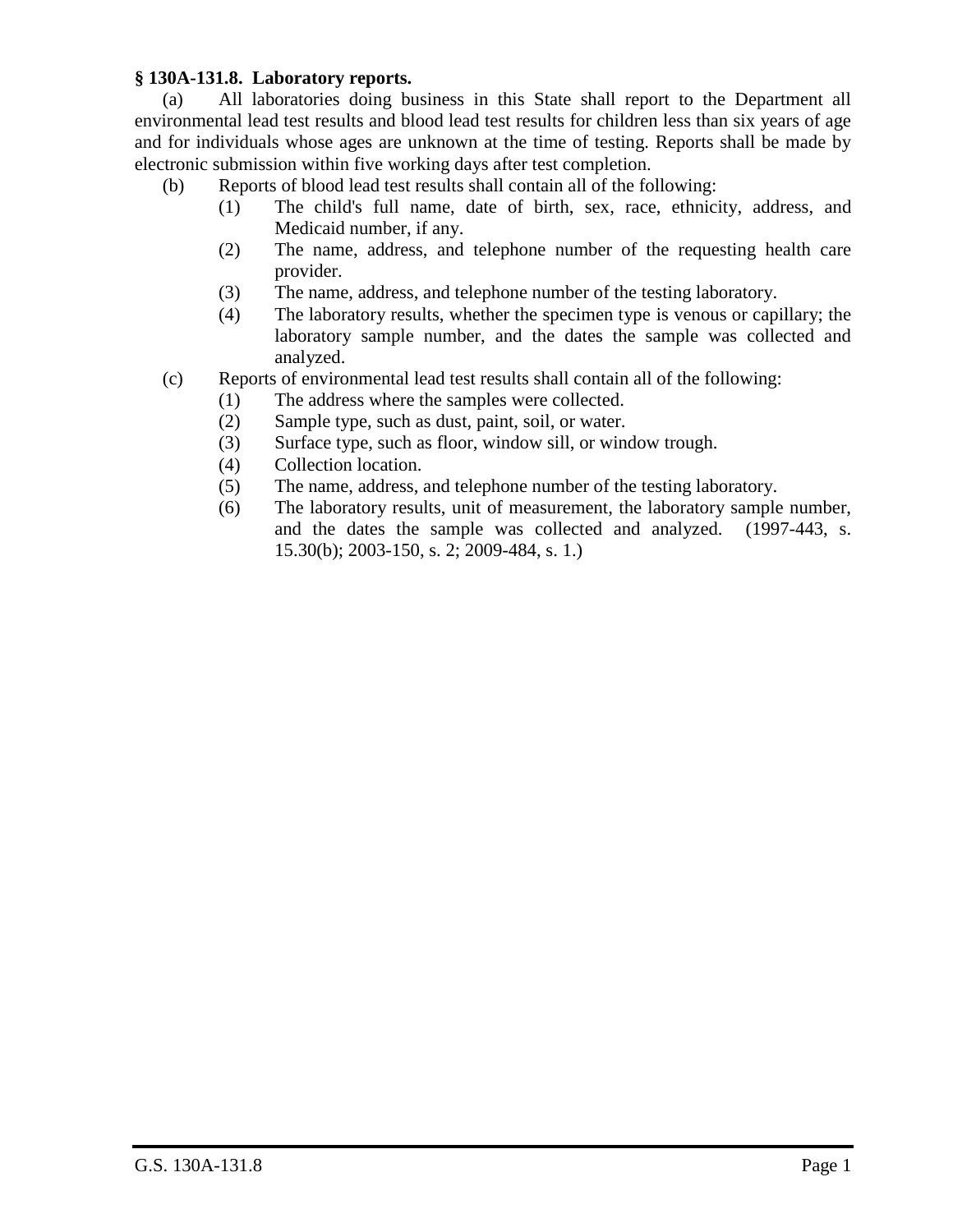# **§ 130A-131.8. Laboratory reports.**

(a) All laboratories doing business in this State shall report to the Department all environmental lead test results and blood lead test results for children less than six years of age and for individuals whose ages are unknown at the time of testing. Reports shall be made by electronic submission within five working days after test completion.

- (b) Reports of blood lead test results shall contain all of the following:
	- (1) The child's full name, date of birth, sex, race, ethnicity, address, and Medicaid number, if any.
	- (2) The name, address, and telephone number of the requesting health care provider.
	- (3) The name, address, and telephone number of the testing laboratory.
	- (4) The laboratory results, whether the specimen type is venous or capillary; the laboratory sample number, and the dates the sample was collected and analyzed.
- (c) Reports of environmental lead test results shall contain all of the following:
	- (1) The address where the samples were collected.
	- (2) Sample type, such as dust, paint, soil, or water.
	- (3) Surface type, such as floor, window sill, or window trough.
	- (4) Collection location.
	- (5) The name, address, and telephone number of the testing laboratory.
	- (6) The laboratory results, unit of measurement, the laboratory sample number, and the dates the sample was collected and analyzed. (1997-443, s. 15.30(b); 2003-150, s. 2; 2009-484, s. 1.)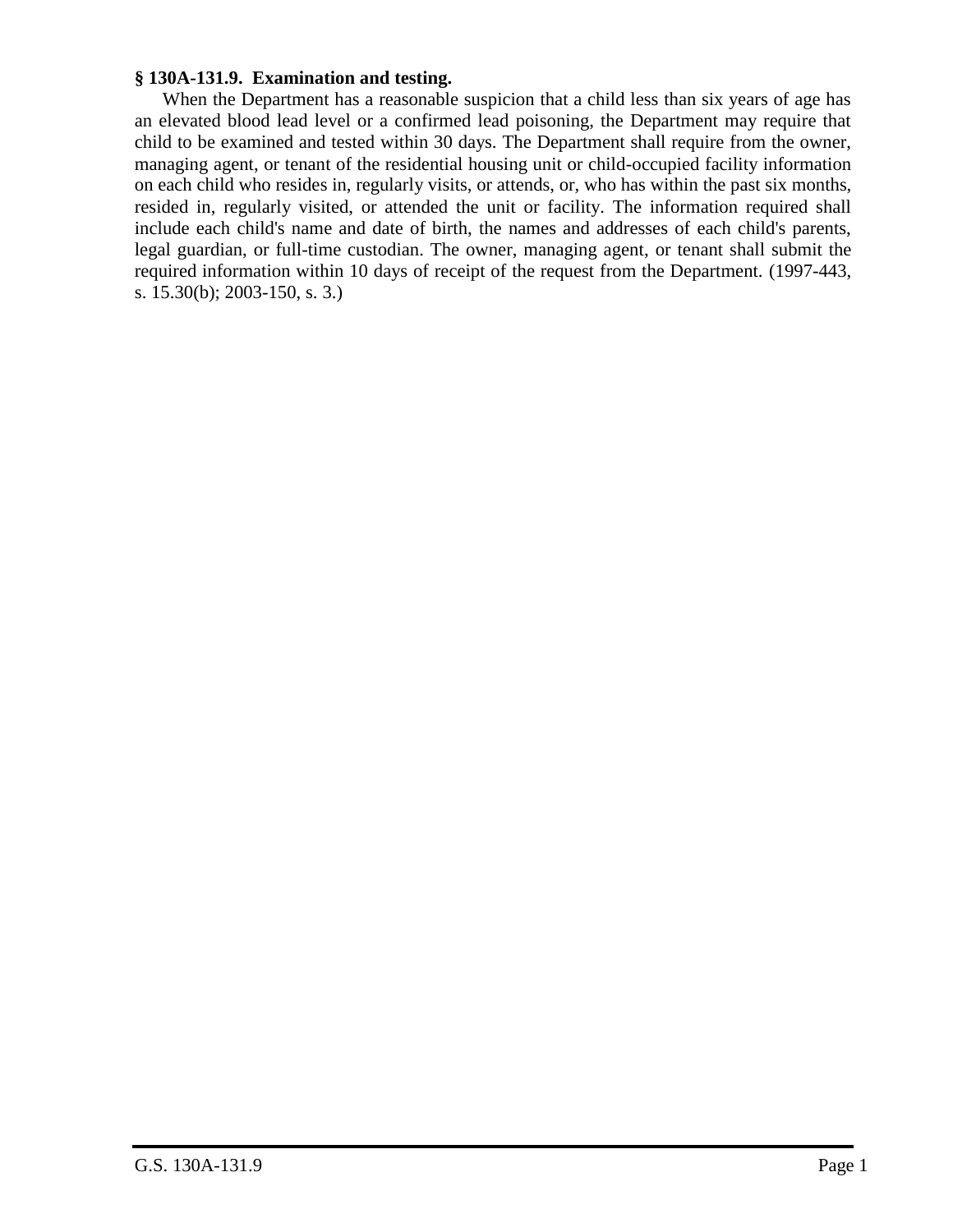#### **§ 130A-131.9. Examination and testing.**

When the Department has a reasonable suspicion that a child less than six years of age has an elevated blood lead level or a confirmed lead poisoning, the Department may require that child to be examined and tested within 30 days. The Department shall require from the owner, managing agent, or tenant of the residential housing unit or child-occupied facility information on each child who resides in, regularly visits, or attends, or, who has within the past six months, resided in, regularly visited, or attended the unit or facility. The information required shall include each child's name and date of birth, the names and addresses of each child's parents, legal guardian, or full-time custodian. The owner, managing agent, or tenant shall submit the required information within 10 days of receipt of the request from the Department. (1997-443, s. 15.30(b); 2003-150, s. 3.)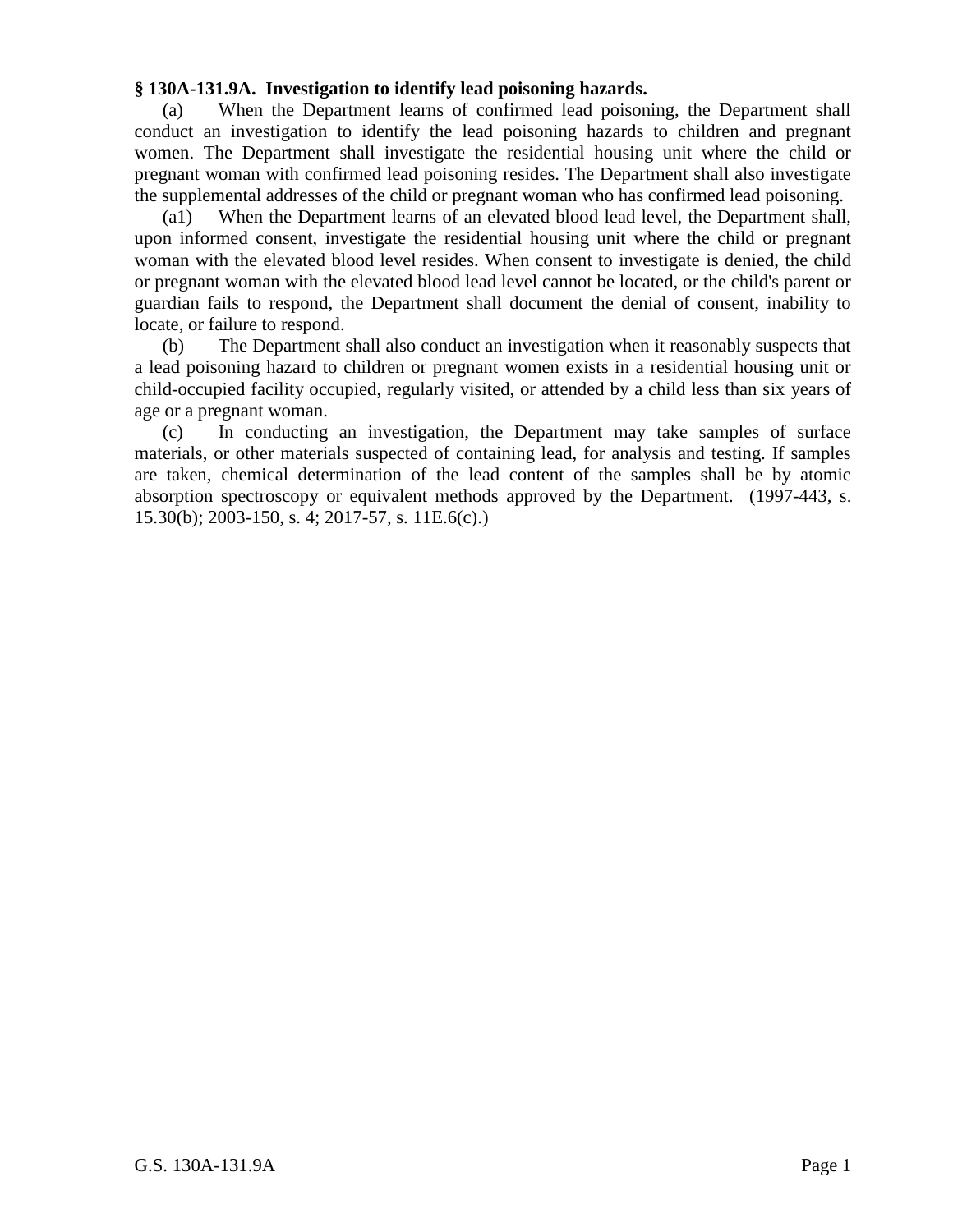## **§ 130A-131.9A. Investigation to identify lead poisoning hazards.**

(a) When the Department learns of confirmed lead poisoning, the Department shall conduct an investigation to identify the lead poisoning hazards to children and pregnant women. The Department shall investigate the residential housing unit where the child or pregnant woman with confirmed lead poisoning resides. The Department shall also investigate the supplemental addresses of the child or pregnant woman who has confirmed lead poisoning.

(a1) When the Department learns of an elevated blood lead level, the Department shall, upon informed consent, investigate the residential housing unit where the child or pregnant woman with the elevated blood level resides. When consent to investigate is denied, the child or pregnant woman with the elevated blood lead level cannot be located, or the child's parent or guardian fails to respond, the Department shall document the denial of consent, inability to locate, or failure to respond.

(b) The Department shall also conduct an investigation when it reasonably suspects that a lead poisoning hazard to children or pregnant women exists in a residential housing unit or child-occupied facility occupied, regularly visited, or attended by a child less than six years of age or a pregnant woman.

(c) In conducting an investigation, the Department may take samples of surface materials, or other materials suspected of containing lead, for analysis and testing. If samples are taken, chemical determination of the lead content of the samples shall be by atomic absorption spectroscopy or equivalent methods approved by the Department. (1997-443, s. 15.30(b); 2003-150, s. 4; 2017-57, s. 11E.6(c).)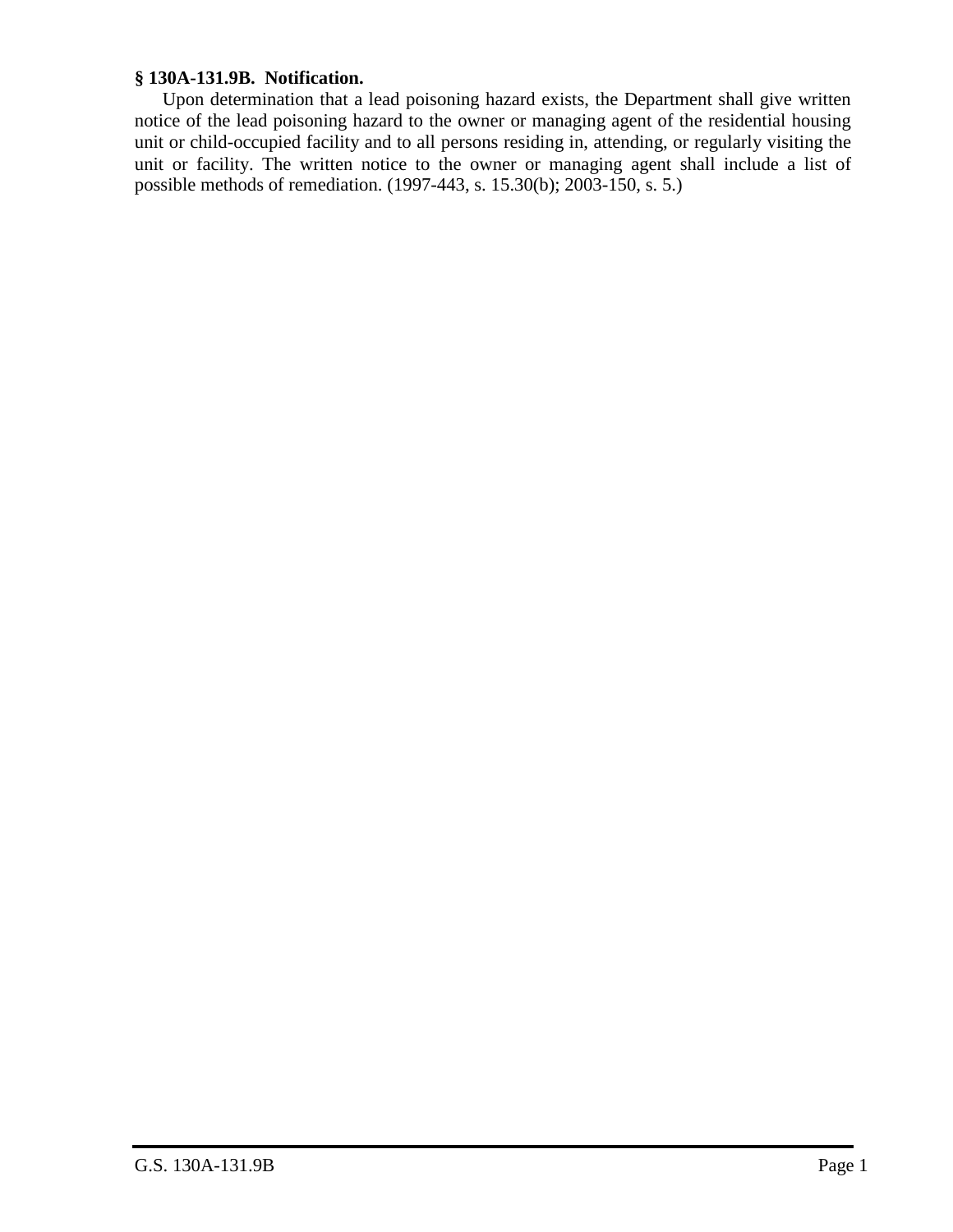## **§ 130A-131.9B. Notification.**

Upon determination that a lead poisoning hazard exists, the Department shall give written notice of the lead poisoning hazard to the owner or managing agent of the residential housing unit or child-occupied facility and to all persons residing in, attending, or regularly visiting the unit or facility. The written notice to the owner or managing agent shall include a list of possible methods of remediation. (1997-443, s. 15.30(b); 2003-150, s. 5.)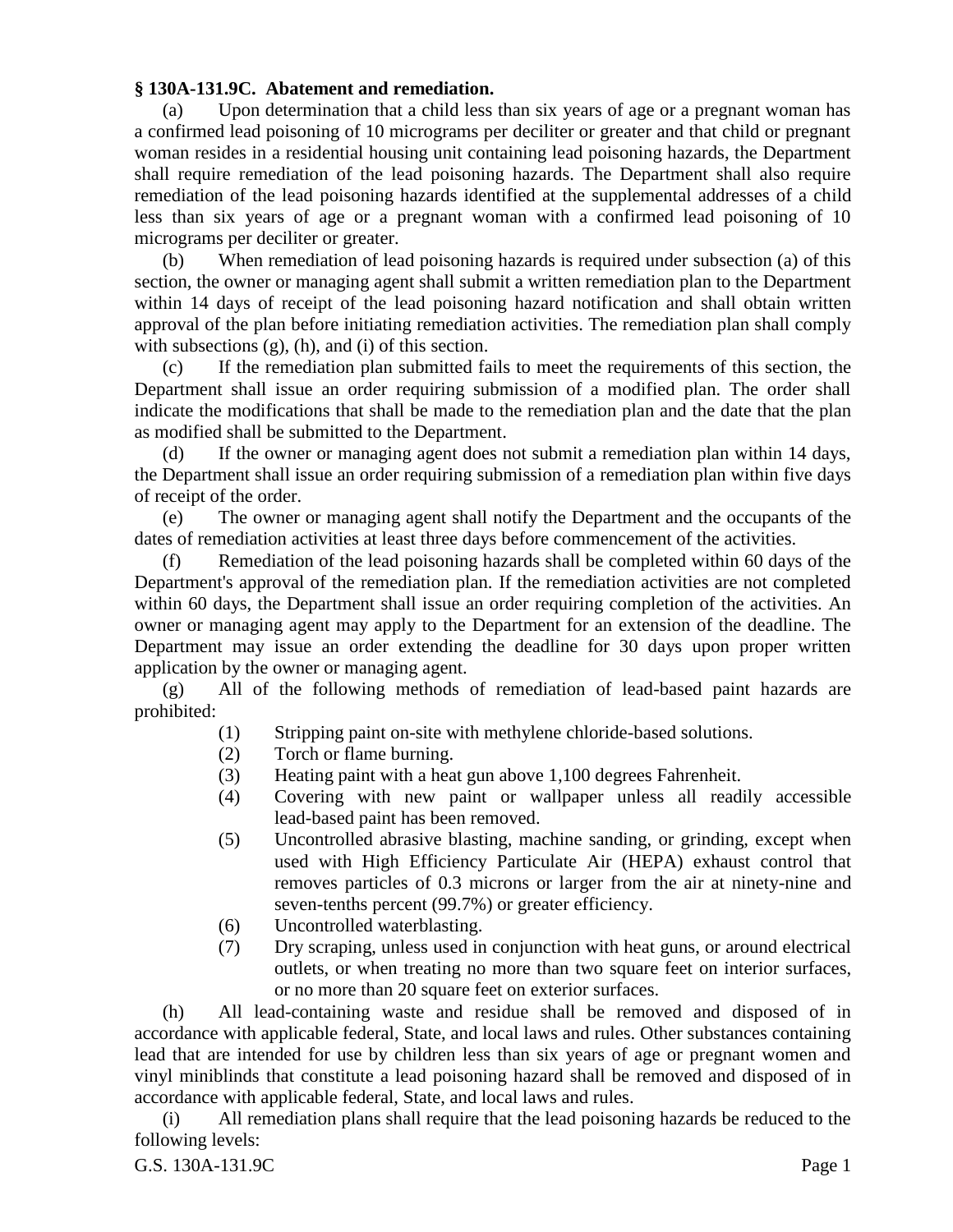#### **§ 130A-131.9C. Abatement and remediation.**

(a) Upon determination that a child less than six years of age or a pregnant woman has a confirmed lead poisoning of 10 micrograms per deciliter or greater and that child or pregnant woman resides in a residential housing unit containing lead poisoning hazards, the Department shall require remediation of the lead poisoning hazards. The Department shall also require remediation of the lead poisoning hazards identified at the supplemental addresses of a child less than six years of age or a pregnant woman with a confirmed lead poisoning of 10 micrograms per deciliter or greater.

(b) When remediation of lead poisoning hazards is required under subsection (a) of this section, the owner or managing agent shall submit a written remediation plan to the Department within 14 days of receipt of the lead poisoning hazard notification and shall obtain written approval of the plan before initiating remediation activities. The remediation plan shall comply with subsections  $(g)$ ,  $(h)$ , and  $(i)$  of this section.

(c) If the remediation plan submitted fails to meet the requirements of this section, the Department shall issue an order requiring submission of a modified plan. The order shall indicate the modifications that shall be made to the remediation plan and the date that the plan as modified shall be submitted to the Department.

(d) If the owner or managing agent does not submit a remediation plan within 14 days, the Department shall issue an order requiring submission of a remediation plan within five days of receipt of the order.

(e) The owner or managing agent shall notify the Department and the occupants of the dates of remediation activities at least three days before commencement of the activities.

(f) Remediation of the lead poisoning hazards shall be completed within 60 days of the Department's approval of the remediation plan. If the remediation activities are not completed within 60 days, the Department shall issue an order requiring completion of the activities. An owner or managing agent may apply to the Department for an extension of the deadline. The Department may issue an order extending the deadline for 30 days upon proper written application by the owner or managing agent.

(g) All of the following methods of remediation of lead-based paint hazards are prohibited:

- (1) Stripping paint on-site with methylene chloride-based solutions.
- (2) Torch or flame burning.
- (3) Heating paint with a heat gun above 1,100 degrees Fahrenheit.
- (4) Covering with new paint or wallpaper unless all readily accessible lead-based paint has been removed.
- (5) Uncontrolled abrasive blasting, machine sanding, or grinding, except when used with High Efficiency Particulate Air (HEPA) exhaust control that removes particles of 0.3 microns or larger from the air at ninety-nine and seven-tenths percent (99.7%) or greater efficiency.
- (6) Uncontrolled waterblasting.
- (7) Dry scraping, unless used in conjunction with heat guns, or around electrical outlets, or when treating no more than two square feet on interior surfaces, or no more than 20 square feet on exterior surfaces.

(h) All lead-containing waste and residue shall be removed and disposed of in accordance with applicable federal, State, and local laws and rules. Other substances containing lead that are intended for use by children less than six years of age or pregnant women and vinyl miniblinds that constitute a lead poisoning hazard shall be removed and disposed of in accordance with applicable federal, State, and local laws and rules.

(i) All remediation plans shall require that the lead poisoning hazards be reduced to the following levels: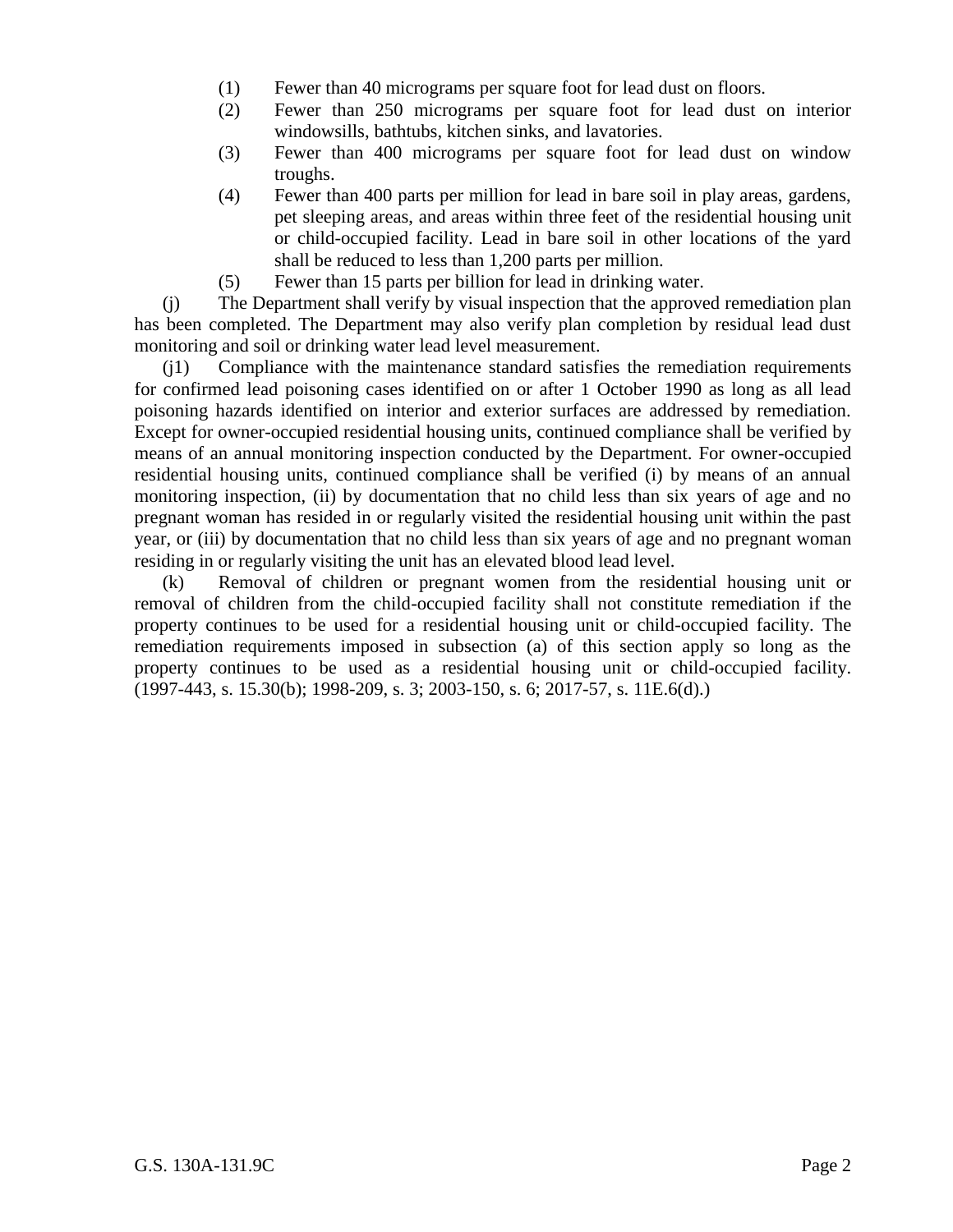- (1) Fewer than 40 micrograms per square foot for lead dust on floors.
- (2) Fewer than 250 micrograms per square foot for lead dust on interior windowsills, bathtubs, kitchen sinks, and lavatories.
- (3) Fewer than 400 micrograms per square foot for lead dust on window troughs.
- (4) Fewer than 400 parts per million for lead in bare soil in play areas, gardens, pet sleeping areas, and areas within three feet of the residential housing unit or child-occupied facility. Lead in bare soil in other locations of the yard shall be reduced to less than 1,200 parts per million.
- (5) Fewer than 15 parts per billion for lead in drinking water.

(j) The Department shall verify by visual inspection that the approved remediation plan has been completed. The Department may also verify plan completion by residual lead dust monitoring and soil or drinking water lead level measurement.

(j1) Compliance with the maintenance standard satisfies the remediation requirements for confirmed lead poisoning cases identified on or after 1 October 1990 as long as all lead poisoning hazards identified on interior and exterior surfaces are addressed by remediation. Except for owner-occupied residential housing units, continued compliance shall be verified by means of an annual monitoring inspection conducted by the Department. For owner-occupied residential housing units, continued compliance shall be verified (i) by means of an annual monitoring inspection, (ii) by documentation that no child less than six years of age and no pregnant woman has resided in or regularly visited the residential housing unit within the past year, or (iii) by documentation that no child less than six years of age and no pregnant woman residing in or regularly visiting the unit has an elevated blood lead level.

(k) Removal of children or pregnant women from the residential housing unit or removal of children from the child-occupied facility shall not constitute remediation if the property continues to be used for a residential housing unit or child-occupied facility. The remediation requirements imposed in subsection (a) of this section apply so long as the property continues to be used as a residential housing unit or child-occupied facility. (1997-443, s. 15.30(b); 1998-209, s. 3; 2003-150, s. 6; 2017-57, s. 11E.6(d).)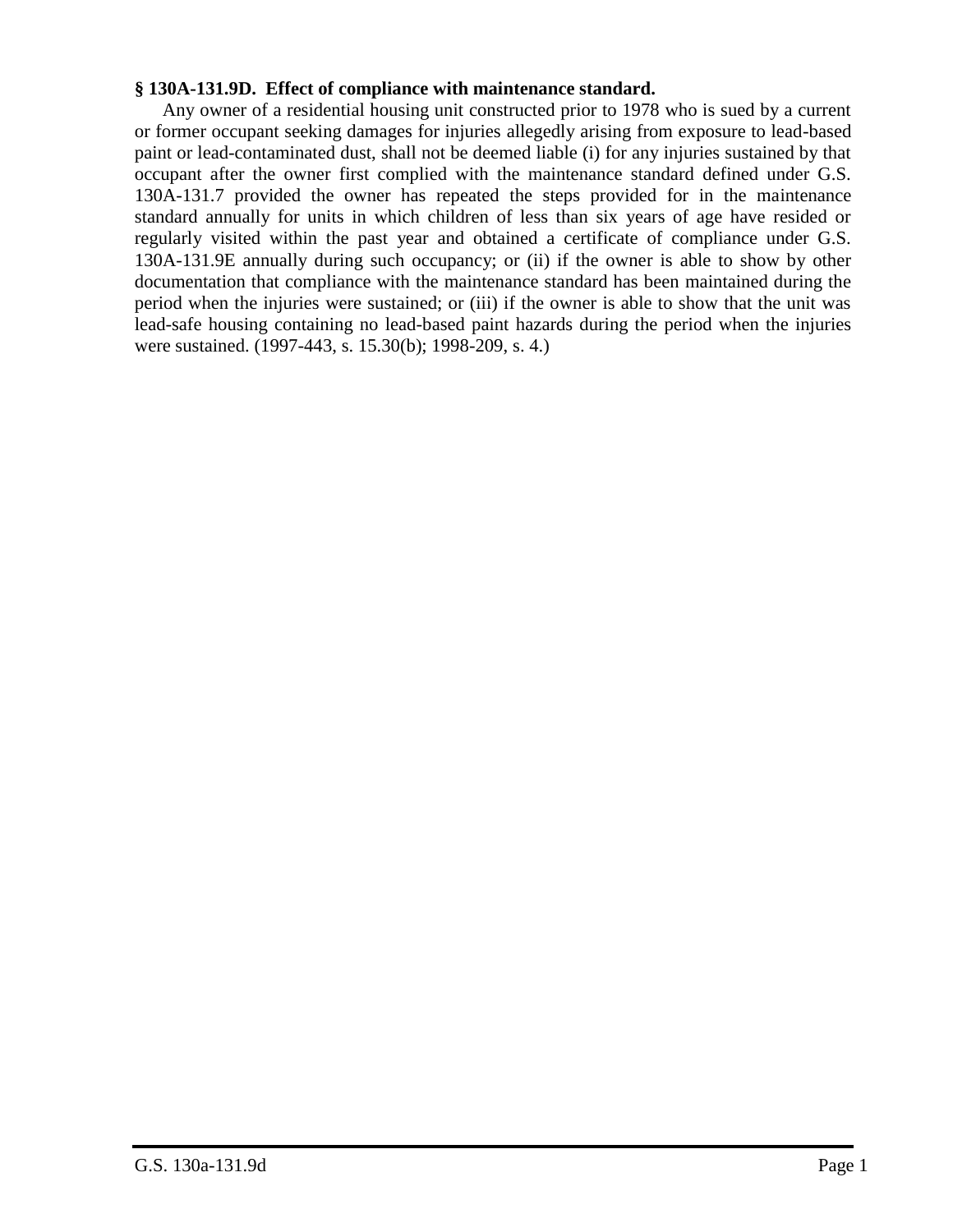#### **§ 130A-131.9D. Effect of compliance with maintenance standard.**

Any owner of a residential housing unit constructed prior to 1978 who is sued by a current or former occupant seeking damages for injuries allegedly arising from exposure to lead-based paint or lead-contaminated dust, shall not be deemed liable (i) for any injuries sustained by that occupant after the owner first complied with the maintenance standard defined under G.S. 130A-131.7 provided the owner has repeated the steps provided for in the maintenance standard annually for units in which children of less than six years of age have resided or regularly visited within the past year and obtained a certificate of compliance under G.S. 130A-131.9E annually during such occupancy; or (ii) if the owner is able to show by other documentation that compliance with the maintenance standard has been maintained during the period when the injuries were sustained; or (iii) if the owner is able to show that the unit was lead-safe housing containing no lead-based paint hazards during the period when the injuries were sustained. (1997-443, s. 15.30(b); 1998-209, s. 4.)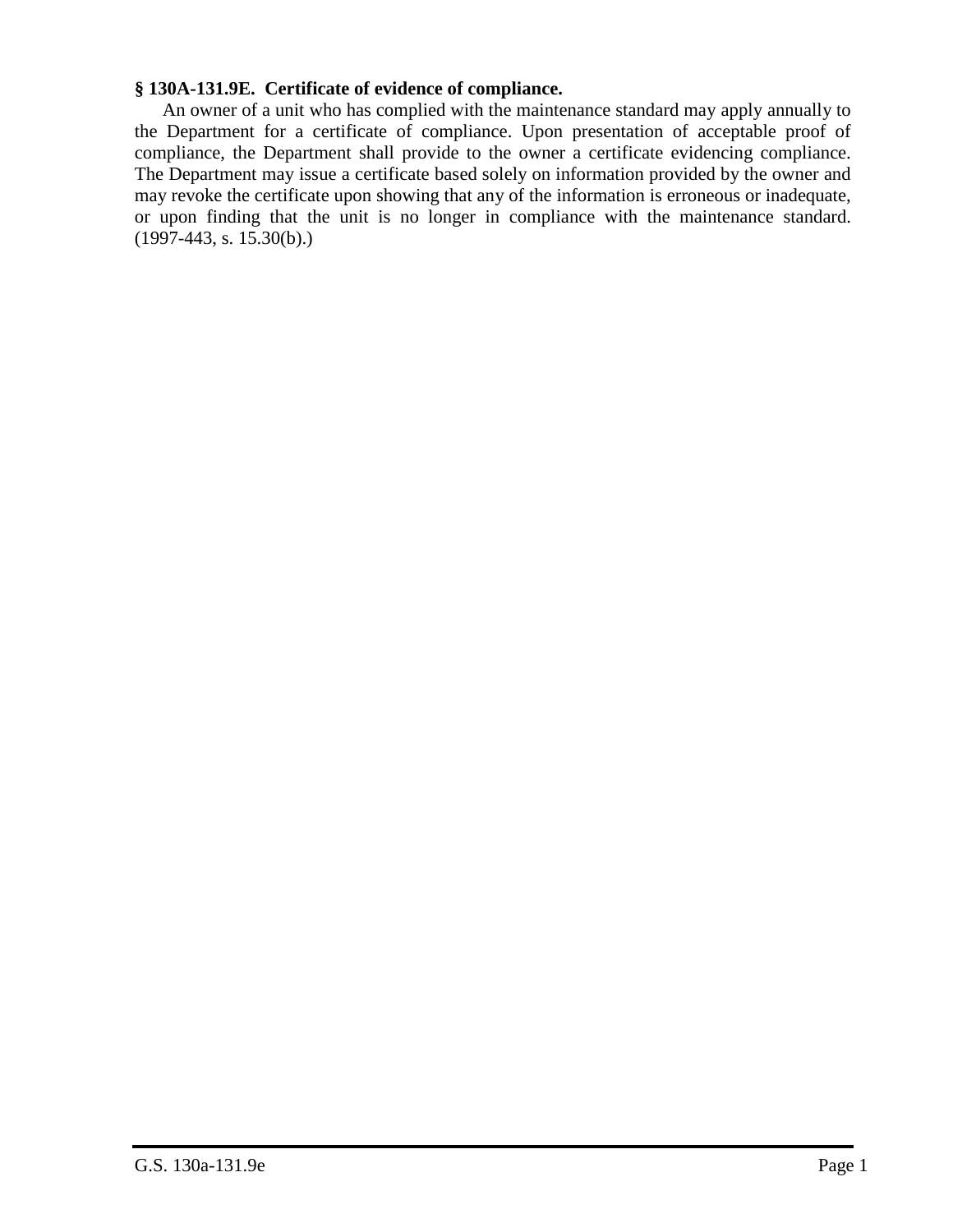## **§ 130A-131.9E. Certificate of evidence of compliance.**

An owner of a unit who has complied with the maintenance standard may apply annually to the Department for a certificate of compliance. Upon presentation of acceptable proof of compliance, the Department shall provide to the owner a certificate evidencing compliance. The Department may issue a certificate based solely on information provided by the owner and may revoke the certificate upon showing that any of the information is erroneous or inadequate, or upon finding that the unit is no longer in compliance with the maintenance standard. (1997-443, s. 15.30(b).)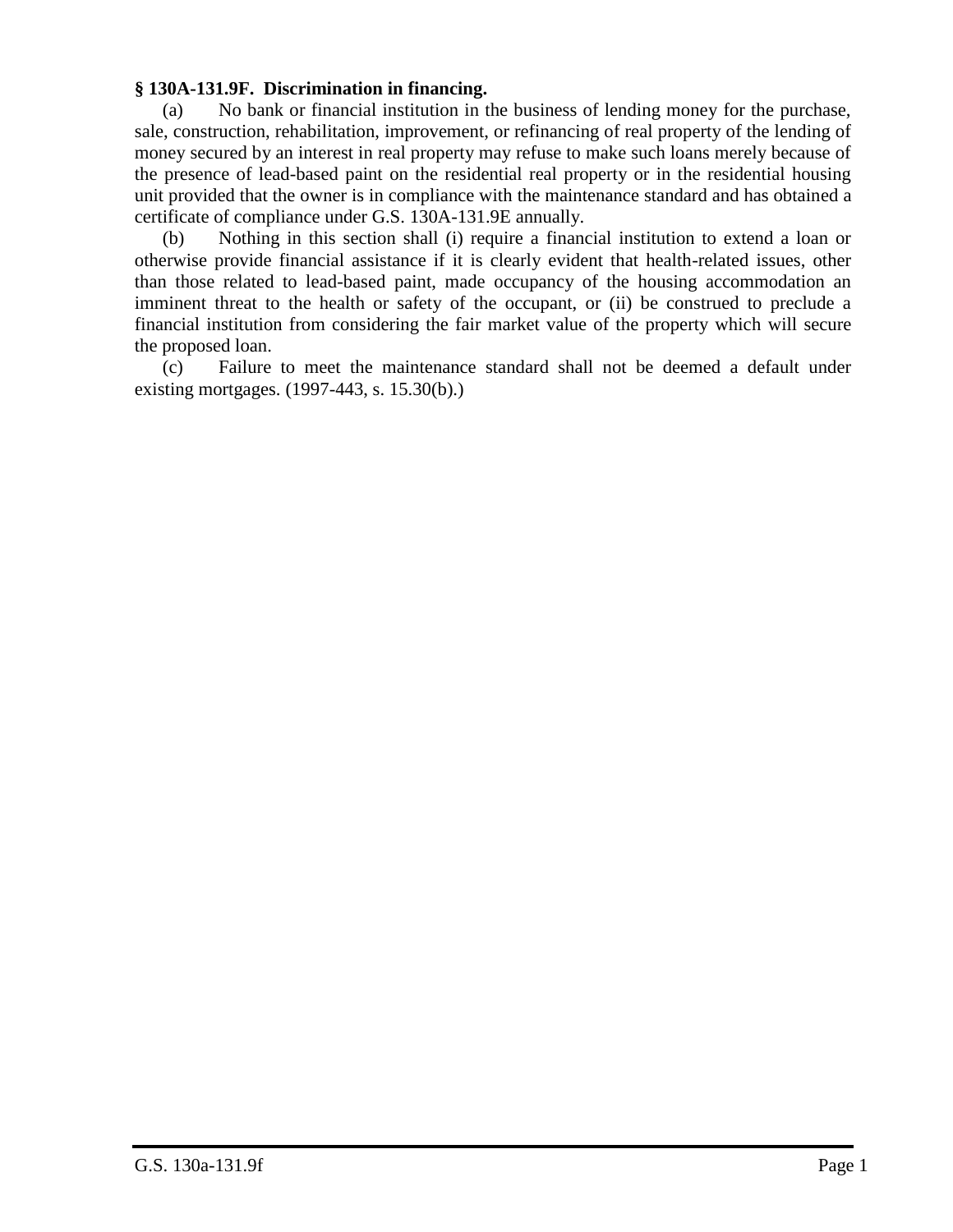# **§ 130A-131.9F. Discrimination in financing.**

(a) No bank or financial institution in the business of lending money for the purchase, sale, construction, rehabilitation, improvement, or refinancing of real property of the lending of money secured by an interest in real property may refuse to make such loans merely because of the presence of lead-based paint on the residential real property or in the residential housing unit provided that the owner is in compliance with the maintenance standard and has obtained a certificate of compliance under G.S. 130A-131.9E annually.

(b) Nothing in this section shall (i) require a financial institution to extend a loan or otherwise provide financial assistance if it is clearly evident that health-related issues, other than those related to lead-based paint, made occupancy of the housing accommodation an imminent threat to the health or safety of the occupant, or (ii) be construed to preclude a financial institution from considering the fair market value of the property which will secure the proposed loan.

(c) Failure to meet the maintenance standard shall not be deemed a default under existing mortgages. (1997-443, s. 15.30(b).)